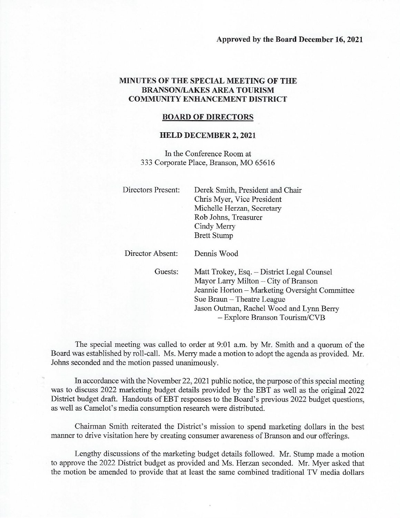## MINUTES OF THE SPECIAL MEETING OF THE **BRANSON/LAKES AREA TOURISM COMMUNITY ENHANCEMENT DISTRICT**

## **BOARD OF DIRECTORS**

## **HELD DECEMBER 2, 2021**

In the Conference Room at 333 Corporate Place, Branson, MO 65616

| Directors Present: | Derek Smith, President and Chair<br>Chris Myer, Vice President<br>Michelle Herzan, Secretary<br>Rob Johns, Treasurer<br>Cindy Merry<br><b>Brett Stump</b>                                                                                         |  |  |  |  |  |
|--------------------|---------------------------------------------------------------------------------------------------------------------------------------------------------------------------------------------------------------------------------------------------|--|--|--|--|--|
| Director Absent:   | Dennis Wood                                                                                                                                                                                                                                       |  |  |  |  |  |
| Guests:            | Matt Trokey, Esq. - District Legal Counsel<br>Mayor Larry Milton – City of Branson<br>Jeannie Horton – Marketing Oversight Committee<br>Sue Braun – Theatre League<br>Jason Outman, Rachel Wood and Lynn Berry<br>$-$ Explore Branson Tourism/CVB |  |  |  |  |  |

The special meeting was called to order at 9:01 a.m. by Mr. Smith and a quorum of the Board was established by roll-call. Ms. Merry made a motion to adopt the agenda as provided. Mr. Johns seconded and the motion passed unanimously.

In accordance with the November 22, 2021 public notice, the purpose of this special meeting was to discuss 2022 marketing budget details provided by the EBT as well as the original 2022 District budget draft. Handouts of EBT responses to the Board's previous 2022 budget questions, as well as Camelot's media consumption research were distributed.

Chairman Smith reiterated the District's mission to spend marketing dollars in the best manner to drive visitation here by creating consumer awareness of Branson and our offerings.

Lengthy discussions of the marketing budget details followed. Mr. Stump made a motion to approve the 2022 District budget as provided and Ms. Herzan seconded. Mr. Myer asked that the motion be amended to provide that at least the same combined traditional TV media dollars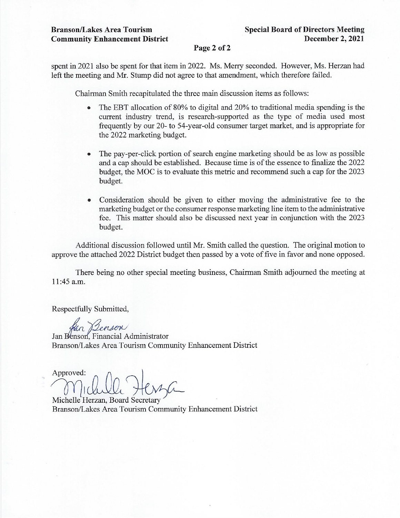## Page 2 of 2

spent in 2021 also be spent for that item in 2022. Ms. Merry seconded. However, Ms. Herzan had left the meeting and Mr. Stump did not agree to that amendment, which therefore failed.

Chairman Smith recapitulated the three main discussion items as follows:

- The EBT allocation of 80% to digital and 20% to traditional media spending is the  $\bullet$ current industry trend, is research-supported as the type of media used most frequently by our 20- to 54-year-old consumer target market, and is appropriate for the 2022 marketing budget.
- The pay-per-click portion of search engine marketing should be as low as possible and a cap should be established. Because time is of the essence to finalize the 2022 budget, the MOC is to evaluate this metric and recommend such a cap for the 2023 budget.
- Consideration should be given to either moving the administrative fee to the marketing budget or the consumer response marketing line item to the administrative fee. This matter should also be discussed next year in conjunction with the 2023 budget.

Additional discussion followed until Mr. Smith called the question. The original motion to approve the attached 2022 District budget then passed by a vote of five in favor and none opposed.

There being no other special meeting business, Chairman Smith adjourned the meeting at 11:45 a.m.

Respectfully Submitted,

Han Benson

Jan Benson, Financial Administrator Branson/Lakes Area Tourism Community Enhancement District

Approved:

Michelle Herzan, Board Secretary Branson/Lakes Area Tourism Community Enhancement District